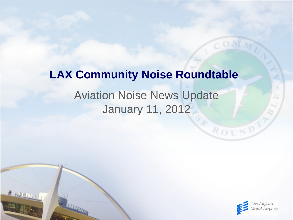# Aviation Noise News Update January 11, 2012 **LAX Community Noise Roundtable**

 $2$  and  $111$ 



ROUND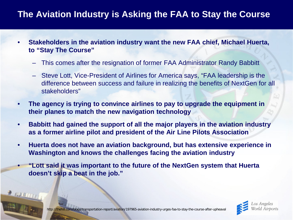# **The Aviation Industry is Asking the FAA to Stay the Course**

- **Stakeholders in the aviation industry want the new FAA chief, Michael Huerta, to "Stay The Course"**
	- This comes after the resignation of former FAA Administrator Randy Babbitt
	- Steve Lott, Vice-President of Airlines for America says, "FAA leadership is the difference between success and failure in realizing the benefits of NextGen for all stakeholders"
- **The agency is trying to convince airlines to pay to upgrade the equipment in their planes to match the new navigation technology**
- **Babbitt had gained the support of all the major players in the aviation industry as a former airline pilot and president of the Air Line Pilots Association**
- **Huerta does not have an aviation background, but has extensive experience in Washington and knows the challenges facing the aviation industry**
- **"Lott said it was important to the future of the NextGen system that Huerta doesn't skip a beat in the job."**



 $2000000$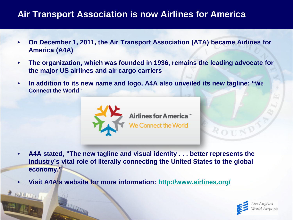#### **Air Transport Association is now Airlines for America**

- **On December 1, 2011, the Air Transport Association (ATA) became Airlines for America (A4A)**
- **The organization, which was founded in 1936, remains the leading advocate for the major US airlines and air cargo carriers**
- **In addition to its new name and logo, A4A also unveiled its new tagline: "We Connect the World"**



- **A4A stated, "The new tagline and visual identity . . . better represents the industry's vital role of literally connecting the United States to the global economy."**
- **Visit A4A's website for more information: <http://www.airlines.org/>**

**E NUMBER** 



ROUN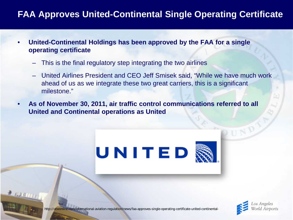## **FAA Approves United-Continental Single Operating Certificate**

- **United-Continental Holdings has been approved by the FAA for a single operating certificate**
	- This is the final regulatory step integrating the two airlines
	- United Airlines President and CEO Jeff Smisek said, "While we have much work ahead of us as we integrate these two great carriers, this is a significant milestone."
- **As of November 30, 2011, air traffic control communications referred to all United and Continental operations as United**





http://atwonline.com/international-aviation-regulation/news/faa-approves-single-operating-certificate-united-continental-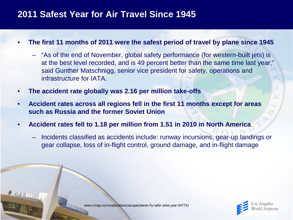#### **2011 Safest Year for Air Travel Since 1945**

- **The first 11 months of 2011 were the safest period of travel by plane since 1945**
	- "As of the end of November, global safety performance (for western-built jets) is at the best level recorded, and is 49 percent better than the same time last year," said Gunther Matschnigg, senior vice president for safety, operations and infrastructure for IATA.
- **The accident rate globally was 2.16 per million take-offs**
- **Accident rates across all regions fell in the first 11 months except for areas such as Russia and the former Soviet Union**
- **Accident rates fell to 1.18 per million from 1.51 in 2010 in North America**
	- Incidents classified as accidents include: runway incursions, gear-up landings or gear collapse, loss of in-flight control, ground damage, and in-flight damage



www.cnngo.com/explorations/escape/planes-fly-safer-skies-year-547731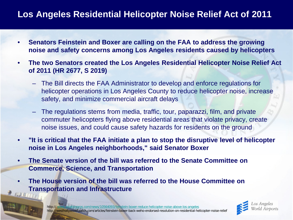## **Los Angeles Residential Helicopter Noise Relief Act of 2011**

- **Senators Feinstein and Boxer are calling on the FAA to address the growing noise and safety concerns among Los Angeles residents caused by helicopters**
- **The two Senators created the Los Angeles Residential Helicopter Noise Relief Act of 2011 (HR 2677, S 2019)**
	- The Bill directs the FAA Administrator to develop and enforce regulations for helicopter operations in Los Angeles County to reduce helicopter noise, increase safety, and minimize commercial aircraft delays
	- The regulations stems from media, traffic, tour, paparazzi, film, and private commuter helicopters flying above residential areas that violate privacy, create noise issues, and could cause safety hazards for residents on the ground
- **"It is critical that the FAA initiate a plan to stop the disruptive level of helicopter noise in Los Angeles neighborhoods," said Senator Boxer**
- **The Senate version of the bill was referred to the Senate Committee on Commerce, Science, and Transportation**
- **The House version of the bill was referred to the House Committee on Transportation and Infrastructure**

http:// [www.aviationpros.com/news/10564093/feinstein-boxer-reduce-helicopter-noise-above-los-angeles](http://www.aviationpros.com/news/10564093/feinstein-boxer-reduce-helicopter-noise-above-los-angeles) http://westhollywood.patch.com/articles/feinstein-boxer-back-weho-endorsed-resolution-on-residential-helicopter-noise-relief